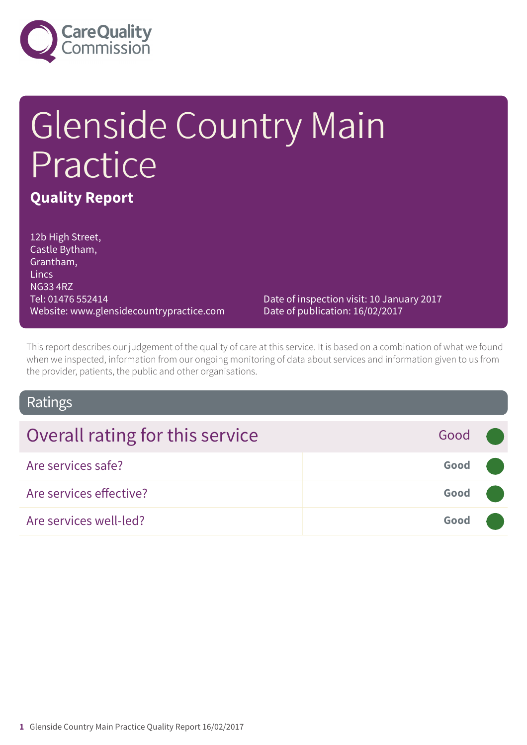

# Glenside Country Main Practice **Quality Report**

12b High Street, Castle Bytham, Grantham, **Lincs** NG33 4RZ Tel: 01476 552414 Website: www.glensidecountrypractice.com

Date of inspection visit: 10 January 2017 Date of publication: 16/02/2017

This report describes our judgement of the quality of care at this service. It is based on a combination of what we found when we inspected, information from our ongoing monitoring of data about services and information given to us from the provider, patients, the public and other organisations.

### Ratings

| Overall rating for this service | Good <b>O</b> |  |
|---------------------------------|---------------|--|
| Are services safe?              | Good (        |  |
| Are services effective?         | Good (        |  |
| Are services well-led?          | Good          |  |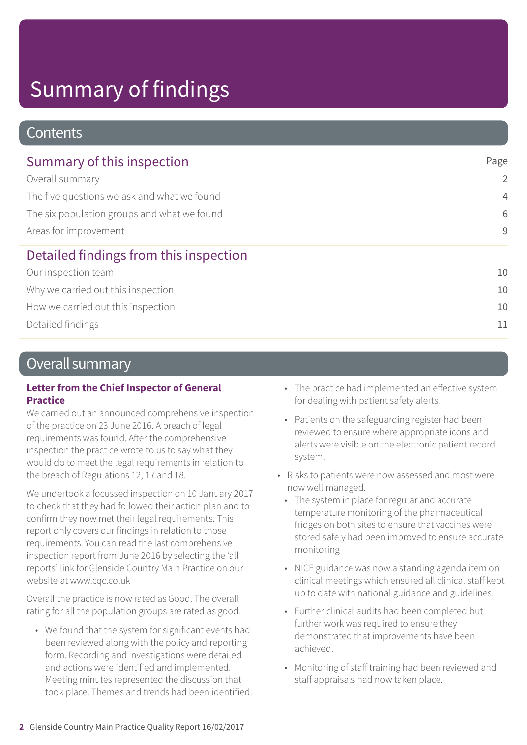### **Contents**

| Summary of this inspection                  | Page           |
|---------------------------------------------|----------------|
| Overall summary                             | 2              |
| The five questions we ask and what we found | $\overline{4}$ |
| The six population groups and what we found | 6              |
| Areas for improvement                       | 9              |
| Detailed findings from this inspection      |                |
| Our inspection team                         | 10             |
| Why we carried out this inspection          | 10             |
| How we carried out this inspection          | 10             |
| Detailed findings                           | 11             |

### Overall summary

#### **Letter from the Chief Inspector of General Practice**

We carried out an announced comprehensive inspection of the practice on 23 June 2016. A breach of legal requirements was found. After the comprehensive inspection the practice wrote to us to say what they would do to meet the legal requirements in relation to the breach of Regulations 12, 17 and 18.

We undertook a focussed inspection on 10 January 2017 to check that they had followed their action plan and to confirm they now met their legal requirements. This report only covers our findings in relation to those requirements. You can read the last comprehensive inspection report from June 2016 by selecting the 'all reports' link for Glenside Country Main Practice on our website at www.cqc.co.uk

Overall the practice is now rated as Good. The overall rating for all the population groups are rated as good.

• We found that the system for significant events had been reviewed along with the policy and reporting form. Recording and investigations were detailed and actions were identified and implemented. Meeting minutes represented the discussion that took place. Themes and trends had been identified.

- The practice had implemented an effective system for dealing with patient safety alerts.
- Patients on the safeguarding register had been reviewed to ensure where appropriate icons and alerts were visible on the electronic patient record system.
- Risks to patients were now assessed and most were now well managed.
	- The system in place for regular and accurate temperature monitoring of the pharmaceutical fridges on both sites to ensure that vaccines were stored safely had been improved to ensure accurate monitoring
	- NICE guidance was now a standing agenda item on clinical meetings which ensured all clinical staff kept up to date with national guidance and guidelines.
	- Further clinical audits had been completed but further work was required to ensure they demonstrated that improvements have been achieved.
	- Monitoring of staff training had been reviewed and staff appraisals had now taken place.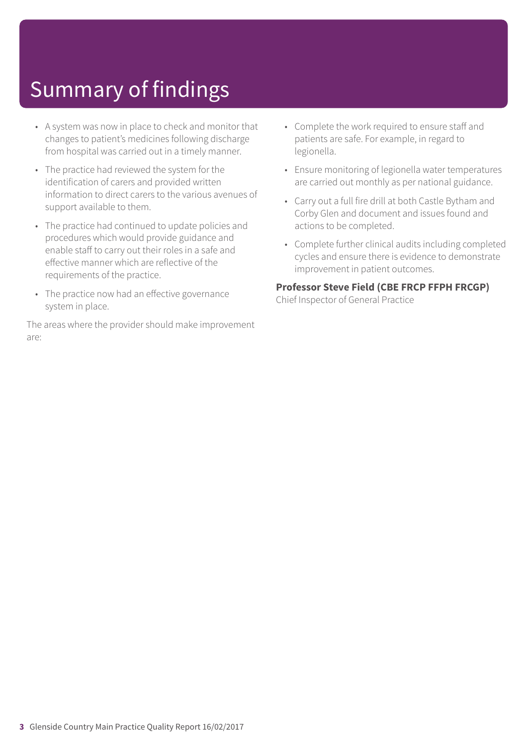- A system was now in place to check and monitor that changes to patient's medicines following discharge from hospital was carried out in a timely manner.
- The practice had reviewed the system for the identification of carers and provided written information to direct carers to the various avenues of support available to them.
- The practice had continued to update policies and procedures which would provide guidance and enable staff to carry out their roles in a safe and effective manner which are reflective of the requirements of the practice.
- The practice now had an effective governance system in place.

The areas where the provider should make improvement are:

- Complete the work required to ensure staff and patients are safe. For example, in regard to legionella.
- Ensure monitoring of legionella water temperatures are carried out monthly as per national guidance.
- Carry out a full fire drill at both Castle Bytham and Corby Glen and document and issues found and actions to be completed.
- Complete further clinical audits including completed cycles and ensure there is evidence to demonstrate improvement in patient outcomes.

#### **Professor Steve Field (CBE FRCP FFPH FRCGP)**

Chief Inspector of General Practice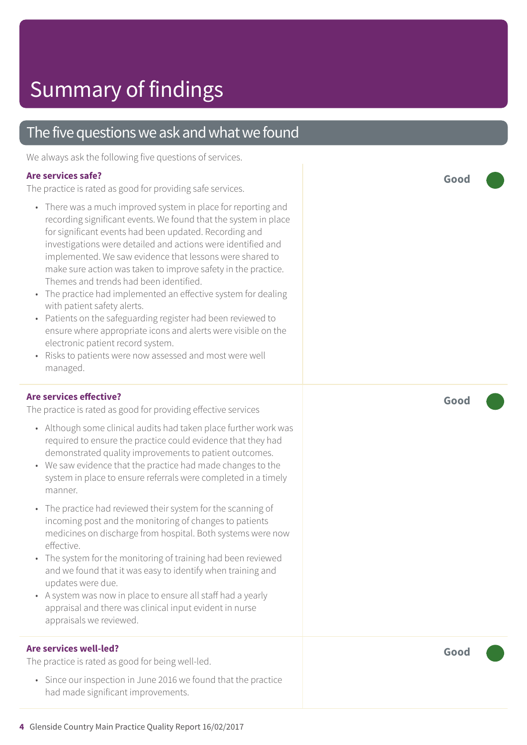### The five questions we ask and what we found

We always ask the following five questions of services.

#### **Are services safe?**

The practice is rated as good for providing safe services.

- There was a much improved system in place for reporting and recording significant events. We found that the system in place for significant events had been updated. Recording and investigations were detailed and actions were identified and implemented. We saw evidence that lessons were shared to make sure action was taken to improve safety in the practice. Themes and trends had been identified.
- The practice had implemented an effective system for dealing with patient safety alerts.
- Patients on the safeguarding register had been reviewed to ensure where appropriate icons and alerts were visible on the electronic patient record system.
- Risks to patients were now assessed and most were well managed.

#### **Are services effective?**

The practice is rated as good for providing effective services

- Although some clinical audits had taken place further work was required to ensure the practice could evidence that they had demonstrated quality improvements to patient outcomes.
- We saw evidence that the practice had made changes to the system in place to ensure referrals were completed in a timely manner.
- The practice had reviewed their system for the scanning of incoming post and the monitoring of changes to patients medicines on discharge from hospital. Both systems were now effective.
- The system for the monitoring of training had been reviewed and we found that it was easy to identify when training and updates were due.
- A system was now in place to ensure all staff had a yearly appraisal and there was clinical input evident in nurse appraisals we reviewed.

#### **Are services well-led?**

The practice is rated as good for being well-led.

• Since our inspection in June 2016 we found that the practice had made significant improvements.

**Good –––**

**Good –––**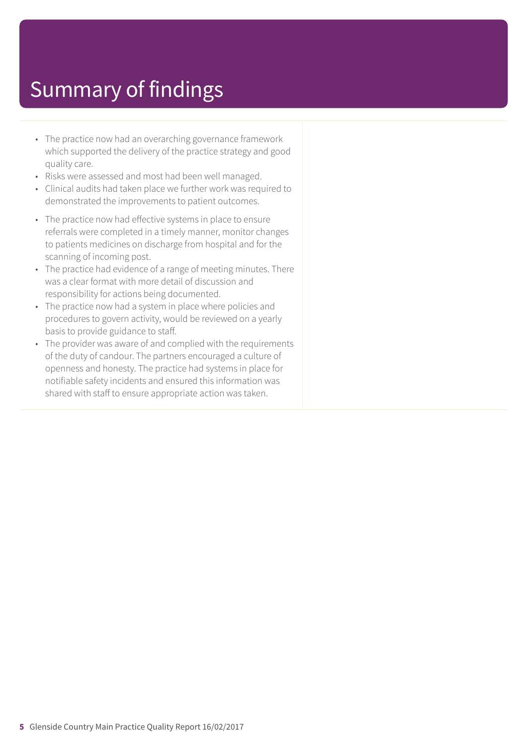- The practice now had an overarching governance framework which supported the delivery of the practice strategy and good quality care.
- Risks were assessed and most had been well managed.
- Clinical audits had taken place we further work was required to demonstrated the improvements to patient outcomes.
- The practice now had effective systems in place to ensure referrals were completed in a timely manner, monitor changes to patients medicines on discharge from hospital and for the scanning of incoming post.
- The practice had evidence of a range of meeting minutes. There was a clear format with more detail of discussion and responsibility for actions being documented.
- The practice now had a system in place where policies and procedures to govern activity, would be reviewed on a yearly basis to provide guidance to staff.
- The provider was aware of and complied with the requirements of the duty of candour. The partners encouraged a culture of openness and honesty. The practice had systems in place for notifiable safety incidents and ensured this information was shared with staff to ensure appropriate action was taken.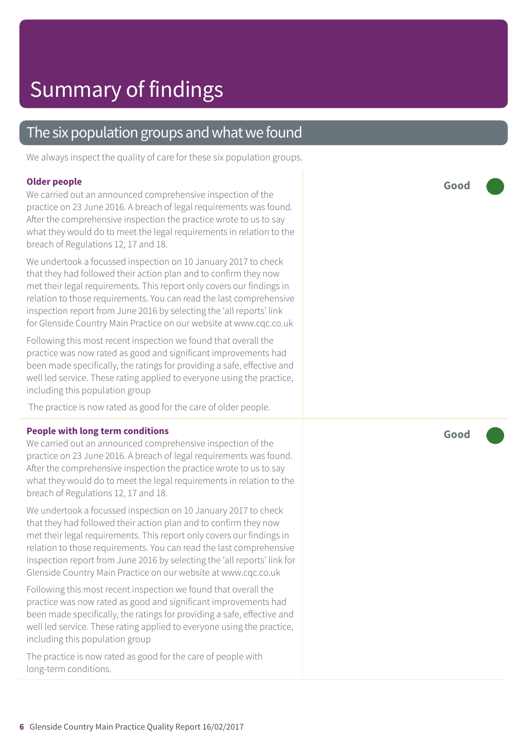### The six population groups and what we found

We always inspect the quality of care for these six population groups.

#### **Older people**

We carried out an announced comprehensive inspection of the practice on 23 June 2016. A breach of legal requirements was found. After the comprehensive inspection the practice wrote to us to say what they would do to meet the legal requirements in relation to the breach of Regulations 12, 17 and 18.

We undertook a focussed inspection on 10 January 2017 to check that they had followed their action plan and to confirm they now met their legal requirements. This report only covers our findings in relation to those requirements. You can read the last comprehensive inspection report from June 2016 by selecting the 'all reports' link for Glenside Country Main Practice on our website at www.cqc.co.uk

Following this most recent inspection we found that overall the practice was now rated as good and significant improvements had been made specifically, the ratings for providing a safe, effective and well led service. These rating applied to everyone using the practice, including this population group

The practice is now rated as good for the care of older people.

#### **People with long term conditions**

We carried out an announced comprehensive inspection of the practice on 23 June 2016. A breach of legal requirements was found. After the comprehensive inspection the practice wrote to us to say what they would do to meet the legal requirements in relation to the breach of Regulations 12, 17 and 18.

We undertook a focussed inspection on 10 January 2017 to check that they had followed their action plan and to confirm they now met their legal requirements. This report only covers our findings in relation to those requirements. You can read the last comprehensive inspection report from June 2016 by selecting the 'all reports' link for Glenside Country Main Practice on our website at www.cqc.co.uk

Following this most recent inspection we found that overall the practice was now rated as good and significant improvements had been made specifically, the ratings for providing a safe, effective and well led service. These rating applied to everyone using the practice, including this population group

The practice is now rated as good for the care of people with long-term conditions.

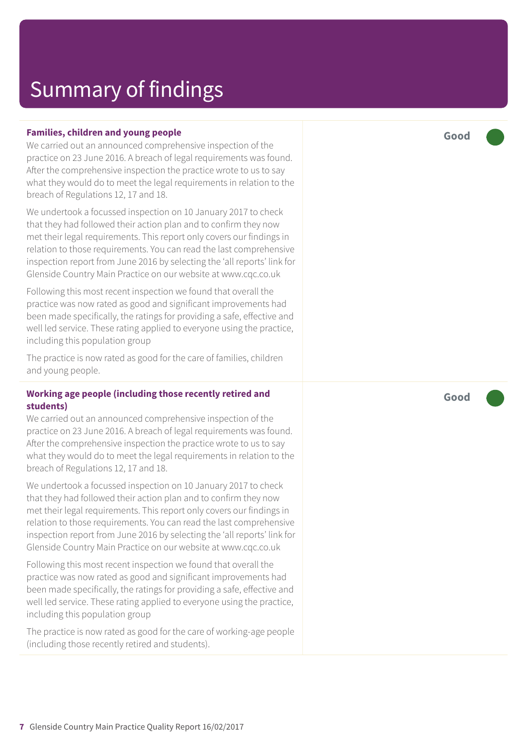#### **Families, children and young people**

We carried out an announced comprehensive inspection of the practice on 23 June 2016. A breach of legal requirements was found. After the comprehensive inspection the practice wrote to us to say what they would do to meet the legal requirements in relation to the breach of Regulations 12, 17 and 18.

We undertook a focussed inspection on 10 January 2017 to check that they had followed their action plan and to confirm they now met their legal requirements. This report only covers our findings in relation to those requirements. You can read the last comprehensive inspection report from June 2016 by selecting the 'all reports' link for Glenside Country Main Practice on our website at www.cqc.co.uk

Following this most recent inspection we found that overall the practice was now rated as good and significant improvements had been made specifically, the ratings for providing a safe, effective and well led service. These rating applied to everyone using the practice, including this population group

The practice is now rated as good for the care of families, children and young people.

#### **Working age people (including those recently retired and students)**

We carried out an announced comprehensive inspection of the practice on 23 June 2016. A breach of legal requirements was found. After the comprehensive inspection the practice wrote to us to say what they would do to meet the legal requirements in relation to the breach of Regulations 12, 17 and 18.

We undertook a focussed inspection on 10 January 2017 to check that they had followed their action plan and to confirm they now met their legal requirements. This report only covers our findings in relation to those requirements. You can read the last comprehensive inspection report from June 2016 by selecting the 'all reports' link for Glenside Country Main Practice on our website at www.cqc.co.uk

Following this most recent inspection we found that overall the practice was now rated as good and significant improvements had been made specifically, the ratings for providing a safe, effective and well led service. These rating applied to everyone using the practice, including this population group

The practice is now rated as good for the care of working-age people (including those recently retired and students).

**Good –––**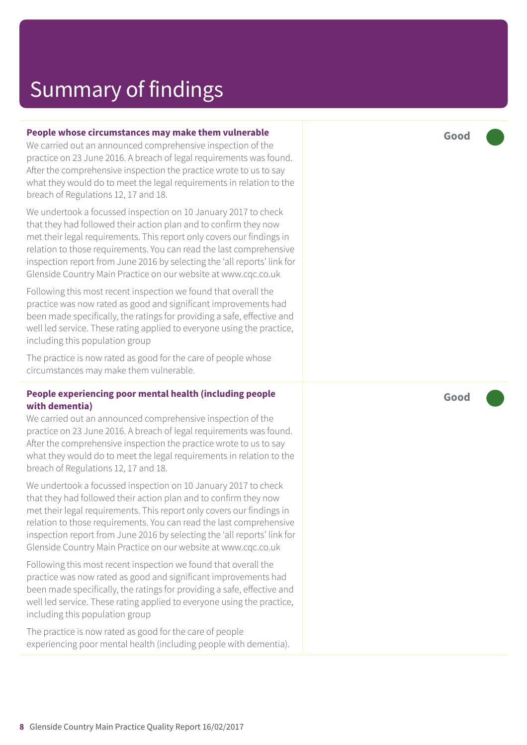#### **People whose circumstances may make them vulnerable**

We carried out an announced comprehensive inspection of the practice on 23 June 2016. A breach of legal requirements was found. After the comprehensive inspection the practice wrote to us to say what they would do to meet the legal requirements in relation to the breach of Regulations 12, 17 and 18.

We undertook a focussed inspection on 10 January 2017 to check that they had followed their action plan and to confirm they now met their legal requirements. This report only covers our findings in relation to those requirements. You can read the last comprehensive inspection report from June 2016 by selecting the 'all reports' link for Glenside Country Main Practice on our website at www.cqc.co.uk

Following this most recent inspection we found that overall the practice was now rated as good and significant improvements had been made specifically, the ratings for providing a safe, effective and well led service. These rating applied to everyone using the practice, including this population group

The practice is now rated as good for the care of people whose circumstances may make them vulnerable.

#### **People experiencing poor mental health (including people with dementia)**

We carried out an announced comprehensive inspection of the practice on 23 June 2016. A breach of legal requirements was found. After the comprehensive inspection the practice wrote to us to say what they would do to meet the legal requirements in relation to the breach of Regulations 12, 17 and 18.

We undertook a focussed inspection on 10 January 2017 to check that they had followed their action plan and to confirm they now met their legal requirements. This report only covers our findings in relation to those requirements. You can read the last comprehensive inspection report from June 2016 by selecting the 'all reports' link for Glenside Country Main Practice on our website at www.cqc.co.uk

Following this most recent inspection we found that overall the practice was now rated as good and significant improvements had been made specifically, the ratings for providing a safe, effective and well led service. These rating applied to everyone using the practice, including this population group

The practice is now rated as good for the care of people experiencing poor mental health (including people with dementia). **Good –––**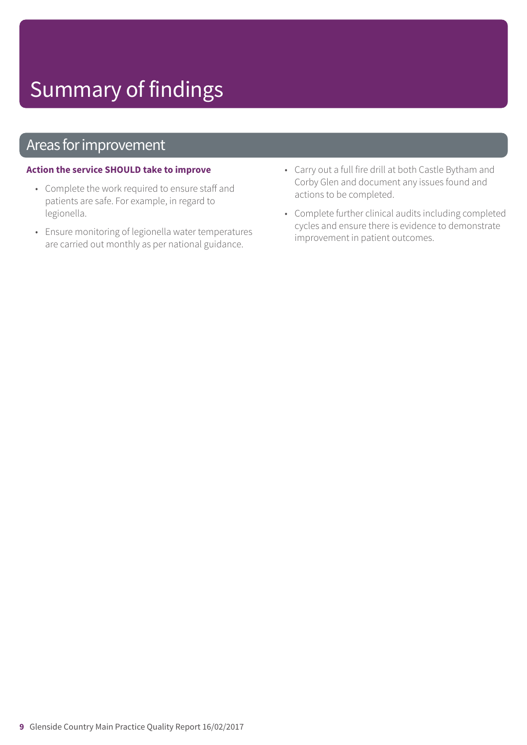### Areas for improvement

#### **Action the service SHOULD take to improve**

- Complete the work required to ensure staff and patients are safe. For example, in regard to legionella.
- Ensure monitoring of legionella water temperatures are carried out monthly as per national guidance.
- Carry out a full fire drill at both Castle Bytham and Corby Glen and document any issues found and actions to be completed.
- Complete further clinical audits including completed cycles and ensure there is evidence to demonstrate improvement in patient outcomes.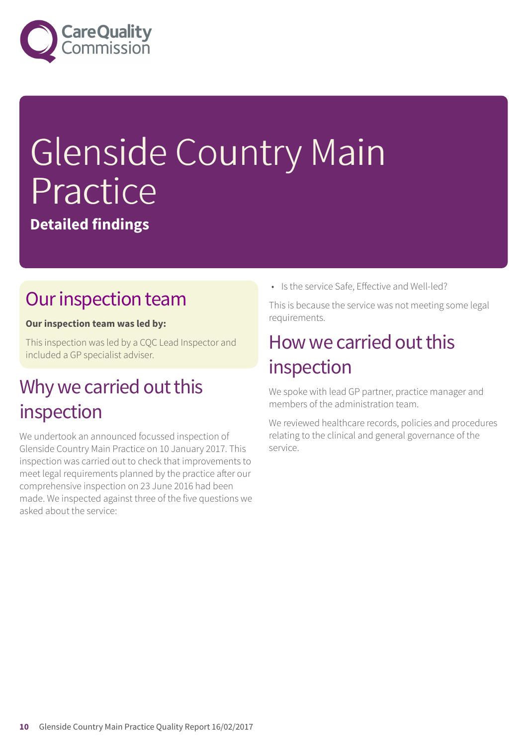

# Glenside Country Main Practice

**Detailed findings**

### Our inspection team

#### **Our inspection team was led by:**

This inspection was led by a CQC Lead Inspector and included a GP specialist adviser.

### Why we carried out this inspection

We undertook an announced focussed inspection of Glenside Country Main Practice on 10 January 2017. This inspection was carried out to check that improvements to meet legal requirements planned by the practice after our comprehensive inspection on 23 June 2016 had been made. We inspected against three of the five questions we asked about the service:

• Is the service Safe, Effective and Well-led?

This is because the service was not meeting some legal requirements.

### How we carried out this inspection

We spoke with lead GP partner, practice manager and members of the administration team.

We reviewed healthcare records, policies and procedures relating to the clinical and general governance of the service.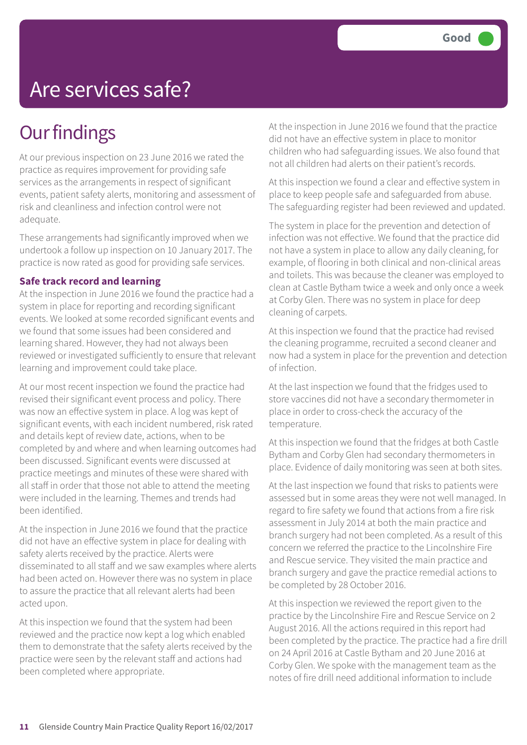# Are services safe?

### **Our findings**

At our previous inspection on 23 June 2016 we rated the practice as requires improvement for providing safe services as the arrangements in respect of significant events, patient safety alerts, monitoring and assessment of risk and cleanliness and infection control were not adequate.

These arrangements had significantly improved when we undertook a follow up inspection on 10 January 2017. The practice is now rated as good for providing safe services.

#### **Safe track record and learning**

At the inspection in June 2016 we found the practice had a system in place for reporting and recording significant events. We looked at some recorded significant events and we found that some issues had been considered and learning shared. However, they had not always been reviewed or investigated sufficiently to ensure that relevant learning and improvement could take place.

At our most recent inspection we found the practice had revised their significant event process and policy. There was now an effective system in place. A log was kept of significant events, with each incident numbered, risk rated and details kept of review date, actions, when to be completed by and where and when learning outcomes had been discussed. Significant events were discussed at practice meetings and minutes of these were shared with all staff in order that those not able to attend the meeting were included in the learning. Themes and trends had been identified.

At the inspection in June 2016 we found that the practice did not have an effective system in place for dealing with safety alerts received by the practice. Alerts were disseminated to all staff and we saw examples where alerts had been acted on. However there was no system in place to assure the practice that all relevant alerts had been acted upon.

At this inspection we found that the system had been reviewed and the practice now kept a log which enabled them to demonstrate that the safety alerts received by the practice were seen by the relevant staff and actions had been completed where appropriate.

At the inspection in June 2016 we found that the practice did not have an effective system in place to monitor children who had safeguarding issues. We also found that not all children had alerts on their patient's records.

At this inspection we found a clear and effective system in place to keep people safe and safeguarded from abuse. The safeguarding register had been reviewed and updated.

The system in place for the prevention and detection of infection was not effective. We found that the practice did not have a system in place to allow any daily cleaning, for example, of flooring in both clinical and non-clinical areas and toilets. This was because the cleaner was employed to clean at Castle Bytham twice a week and only once a week at Corby Glen. There was no system in place for deep cleaning of carpets.

At this inspection we found that the practice had revised the cleaning programme, recruited a second cleaner and now had a system in place for the prevention and detection of infection.

At the last inspection we found that the fridges used to store vaccines did not have a secondary thermometer in place in order to cross-check the accuracy of the temperature.

At this inspection we found that the fridges at both Castle Bytham and Corby Glen had secondary thermometers in place. Evidence of daily monitoring was seen at both sites.

At the last inspection we found that risks to patients were assessed but in some areas they were not well managed. In regard to fire safety we found that actions from a fire risk assessment in July 2014 at both the main practice and branch surgery had not been completed. As a result of this concern we referred the practice to the Lincolnshire Fire and Rescue service. They visited the main practice and branch surgery and gave the practice remedial actions to be completed by 28 October 2016.

At this inspection we reviewed the report given to the practice by the Lincolnshire Fire and Rescue Service on 2 August 2016. All the actions required in this report had been completed by the practice. The practice had a fire drill on 24 April 2016 at Castle Bytham and 20 June 2016 at Corby Glen. We spoke with the management team as the notes of fire drill need additional information to include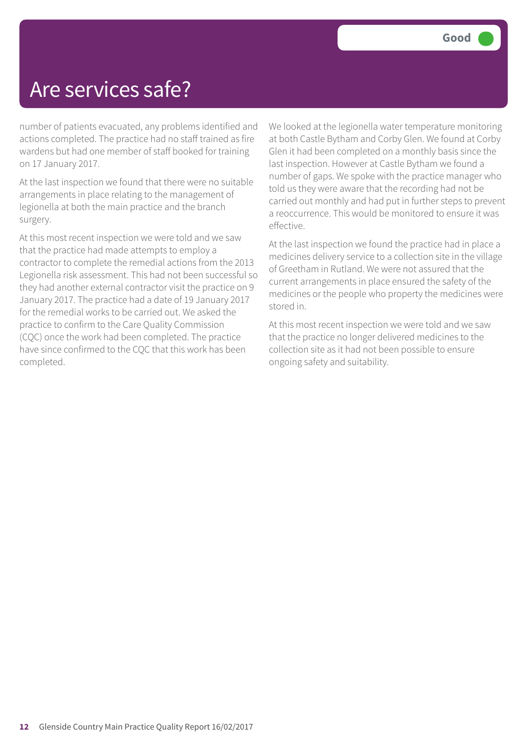### Are services safe?

number of patients evacuated, any problems identified and actions completed. The practice had no staff trained as fire wardens but had one member of staff booked for training on 17 January 2017.

At the last inspection we found that there were no suitable arrangements in place relating to the management of legionella at both the main practice and the branch surgery.

At this most recent inspection we were told and we saw that the practice had made attempts to employ a contractor to complete the remedial actions from the 2013 Legionella risk assessment. This had not been successful so they had another external contractor visit the practice on 9 January 2017. The practice had a date of 19 January 2017 for the remedial works to be carried out. We asked the practice to confirm to the Care Quality Commission (CQC) once the work had been completed. The practice have since confirmed to the CQC that this work has been completed.

We looked at the legionella water temperature monitoring at both Castle Bytham and Corby Glen. We found at Corby Glen it had been completed on a monthly basis since the last inspection. However at Castle Bytham we found a number of gaps. We spoke with the practice manager who told us they were aware that the recording had not be carried out monthly and had put in further steps to prevent a reoccurrence. This would be monitored to ensure it was effective.

At the last inspection we found the practice had in place a medicines delivery service to a collection site in the village of Greetham in Rutland. We were not assured that the current arrangements in place ensured the safety of the medicines or the people who property the medicines were stored in.

At this most recent inspection we were told and we saw that the practice no longer delivered medicines to the collection site as it had not been possible to ensure ongoing safety and suitability.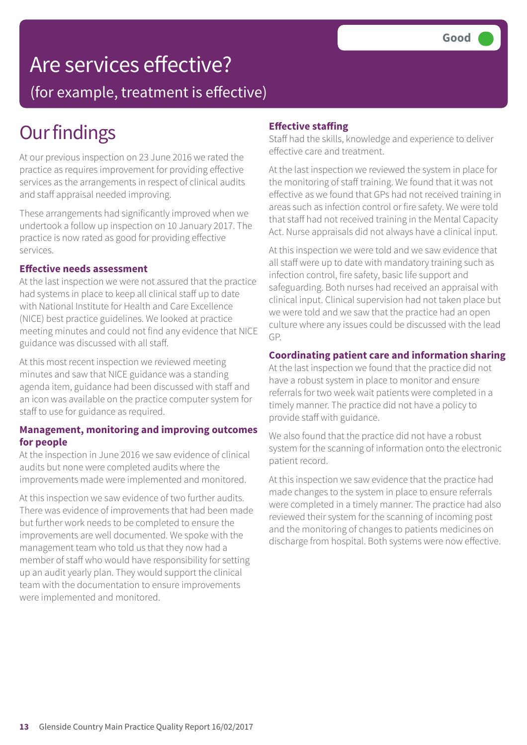## Are services effective?

(for example, treatment is effective)

### **Our findings**

At our previous inspection on 23 June 2016 we rated the practice as requires improvement for providing effective services as the arrangements in respect of clinical audits and staff appraisal needed improving.

These arrangements had significantly improved when we undertook a follow up inspection on 10 January 2017. The practice is now rated as good for providing effective services.

#### **Effective needs assessment**

At the last inspection we were not assured that the practice had systems in place to keep all clinical staff up to date with National Institute for Health and Care Excellence (NICE) best practice guidelines. We looked at practice meeting minutes and could not find any evidence that NICE guidance was discussed with all staff.

At this most recent inspection we reviewed meeting minutes and saw that NICE guidance was a standing agenda item, guidance had been discussed with staff and an icon was available on the practice computer system for staff to use for guidance as required.

#### **Management, monitoring and improving outcomes for people**

At the inspection in June 2016 we saw evidence of clinical audits but none were completed audits where the improvements made were implemented and monitored.

At this inspection we saw evidence of two further audits. There was evidence of improvements that had been made but further work needs to be completed to ensure the improvements are well documented. We spoke with the management team who told us that they now had a member of staff who would have responsibility for setting up an audit yearly plan. They would support the clinical team with the documentation to ensure improvements were implemented and monitored.

#### **Effective staffing**

Staff had the skills, knowledge and experience to deliver effective care and treatment.

At the last inspection we reviewed the system in place for the monitoring of staff training. We found that it was not effective as we found that GPs had not received training in areas such as infection control or fire safety. We were told that staff had not received training in the Mental Capacity Act. Nurse appraisals did not always have a clinical input.

At this inspection we were told and we saw evidence that all staff were up to date with mandatory training such as infection control, fire safety, basic life support and safeguarding. Both nurses had received an appraisal with clinical input. Clinical supervision had not taken place but we were told and we saw that the practice had an open culture where any issues could be discussed with the lead GP.

#### **Coordinating patient care and information sharing**

At the last inspection we found that the practice did not have a robust system in place to monitor and ensure referrals for two week wait patients were completed in a timely manner. The practice did not have a policy to provide staff with guidance.

We also found that the practice did not have a robust system for the scanning of information onto the electronic patient record.

At this inspection we saw evidence that the practice had made changes to the system in place to ensure referrals were completed in a timely manner. The practice had also reviewed their system for the scanning of incoming post and the monitoring of changes to patients medicines on discharge from hospital. Both systems were now effective.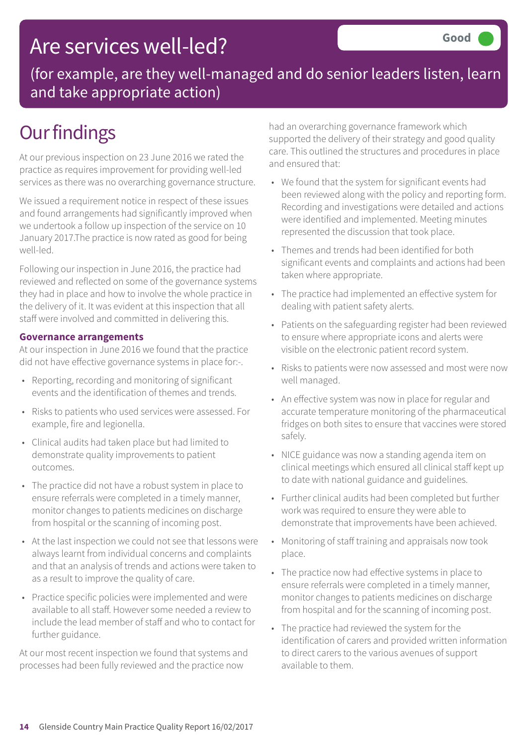### Are services well-led?

(for example, are they well-managed and do senior leaders listen, learn and take appropriate action)

### **Our findings**

At our previous inspection on 23 June 2016 we rated the practice as requires improvement for providing well-led services as there was no overarching governance structure.

We issued a requirement notice in respect of these issues and found arrangements had significantly improved when we undertook a follow up inspection of the service on 10 January 2017.The practice is now rated as good for being well-led.

Following our inspection in June 2016, the practice had reviewed and reflected on some of the governance systems they had in place and how to involve the whole practice in the delivery of it. It was evident at this inspection that all staff were involved and committed in delivering this.

#### **Governance arrangements**

At our inspection in June 2016 we found that the practice did not have effective governance systems in place for:-.

- Reporting, recording and monitoring of significant events and the identification of themes and trends.
- Risks to patients who used services were assessed. For example, fire and legionella.
- Clinical audits had taken place but had limited to demonstrate quality improvements to patient outcomes.
- The practice did not have a robust system in place to ensure referrals were completed in a timely manner, monitor changes to patients medicines on discharge from hospital or the scanning of incoming post.
- At the last inspection we could not see that lessons were always learnt from individual concerns and complaints and that an analysis of trends and actions were taken to as a result to improve the quality of care.
- Practice specific policies were implemented and were available to all staff. However some needed a review to include the lead member of staff and who to contact for further guidance.

At our most recent inspection we found that systems and processes had been fully reviewed and the practice now

had an overarching governance framework which supported the delivery of their strategy and good quality care. This outlined the structures and procedures in place and ensured that:

- We found that the system for significant events had been reviewed along with the policy and reporting form. Recording and investigations were detailed and actions were identified and implemented. Meeting minutes represented the discussion that took place.
- Themes and trends had been identified for both significant events and complaints and actions had been taken where appropriate.
- The practice had implemented an effective system for dealing with patient safety alerts.
- Patients on the safeguarding register had been reviewed to ensure where appropriate icons and alerts were visible on the electronic patient record system.
- Risks to patients were now assessed and most were now well managed.
- An effective system was now in place for regular and accurate temperature monitoring of the pharmaceutical fridges on both sites to ensure that vaccines were stored safely.
- NICE guidance was now a standing agenda item on clinical meetings which ensured all clinical staff kept up to date with national guidance and guidelines.
- Further clinical audits had been completed but further work was required to ensure they were able to demonstrate that improvements have been achieved.
- Monitoring of staff training and appraisals now took place.
- The practice now had effective systems in place to ensure referrals were completed in a timely manner, monitor changes to patients medicines on discharge from hospital and for the scanning of incoming post.
- The practice had reviewed the system for the identification of carers and provided written information to direct carers to the various avenues of support available to them.